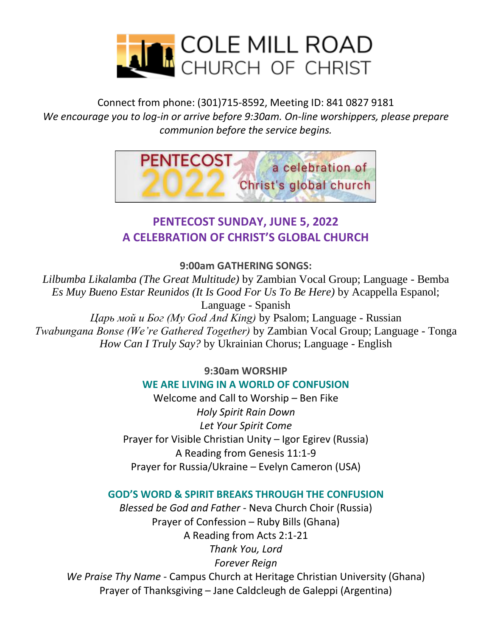

Connect from phone: (301)715-8592, Meeting ID: 841 0827 9181 *We encourage you to log-in or arrive before 9:30am. On-line worshippers, please prepare communion before the service begins.*



# **PENTECOST SUNDAY, JUNE 5, 2022 A CELEBRATION OF CHRIST'S GLOBAL CHURCH**

**9:00am GATHERING SONGS:**

*Lilbumba Likalamba (The Great Multitude)* by Zambian Vocal Group; Language - Bemba *Es Muy Bueno Estar Reunidos (It Is Good For Us To Be Here)* by Acappella Espanol; Language - Spanish *Царь мой и Бог (My God And King)* by Psalom; Language - Russian *Twabungana Bonse (We're Gathered Together)* by Zambian Vocal Group; Language - Tonga

*How Can I Truly Say?* by Ukrainian Chorus; Language - English

## **9:30am WORSHIP WE ARE LIVING IN A WORLD OF CONFUSION**

Welcome and Call to Worship – Ben Fike *Holy Spirit Rain Down Let Your Spirit Come* Prayer for Visible Christian Unity – Igor Egirev (Russia) A Reading from Genesis 11:1-9 Prayer for Russia/Ukraine – Evelyn Cameron (USA)

## **GOD'S WORD & SPIRIT BREAKS THROUGH THE CONFUSION**

*Blessed be God and Father* - Neva Church Choir (Russia) Prayer of Confession – Ruby Bills (Ghana) A Reading from Acts 2:1-21 *Thank You, Lord Forever Reign We Praise Thy Name* - Campus Church at Heritage Christian University (Ghana) Prayer of Thanksgiving – Jane Caldcleugh de Galeppi (Argentina)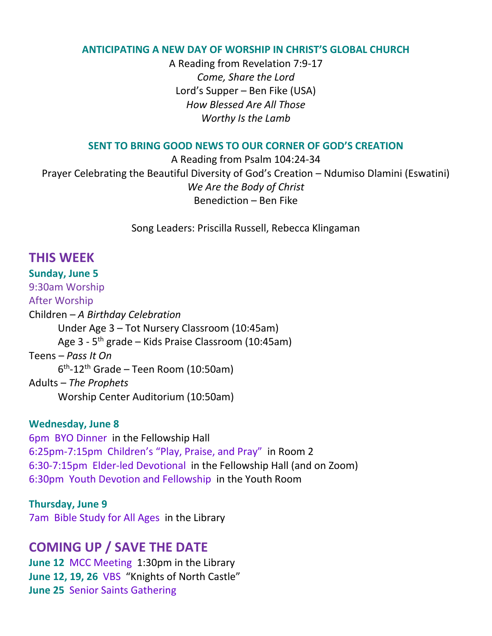#### **ANTICIPATING A NEW DAY OF WORSHIP IN CHRIST'S GLOBAL CHURCH**

A Reading from Revelation 7:9-17 *Come, Share the Lord* Lord's Supper – Ben Fike (USA) *How Blessed Are All Those Worthy Is the Lamb*

#### **SENT TO BRING GOOD NEWS TO OUR CORNER OF GOD'S CREATION**

A Reading from Psalm 104:24-34 Prayer Celebrating the Beautiful Diversity of God's Creation – Ndumiso Dlamini (Eswatini) *We Are the Body of Christ* Benediction – Ben Fike

Song Leaders: Priscilla Russell, Rebecca Klingaman

## **THIS WEEK**

#### **Sunday, June 5**

9:30am Worship After Worship Children – *A Birthday Celebration* Under Age 3 – Tot Nursery Classroom (10:45am) Age 3 - 5<sup>th</sup> grade – Kids Praise Classroom (10:45am) Teens – *Pass It On* 6 th -12th Grade – Teen Room (10:50am) Adults – *The Prophets* Worship Center Auditorium (10:50am)

#### **Wednesday, June 8**

6pm BYO Dinner in the Fellowship Hall 6:25pm-7:15pm Children's "Play, Praise, and Pray" in Room 2 6:30-7:15pm Elder-led Devotional in the Fellowship Hall (and on Zoom) 6:30pm Youth Devotion and Fellowship in the Youth Room

**Thursday, June 9** 7am Bible Study for All Ages in the Library

# **COMING UP / SAVE THE DATE**

**June 12** MCC Meeting 1:30pm in the Library **June 12, 19, 26** VBS "Knights of North Castle" **June 25** Senior Saints Gathering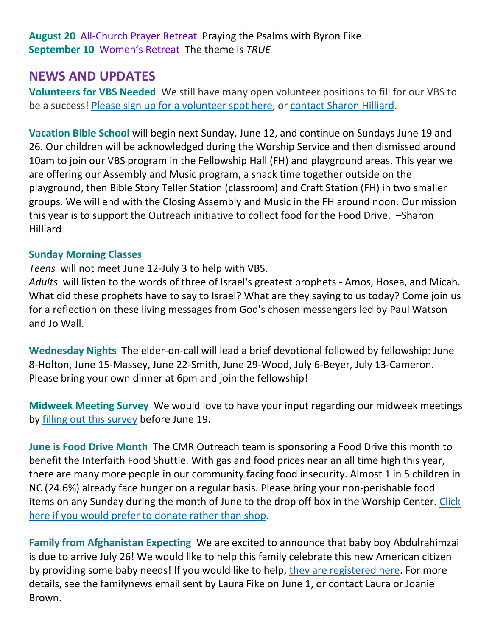**August 20** All-Church Prayer Retreat Praying the Psalms with Byron Fike **September 10** Women's Retreat The theme is *TRUE*

# **NEWS AND UPDATES**

**Volunteers for VBS Needed** We still have many open volunteer positions to fill for our VBS to be a success! [Please sign up for a volunteer spot here,](https://www.signupgenius.com/go/10c0e49afa92aa7f4cf8-vacation) or [contact Sharon Hilliard.](mailto:sharonh@colemillroad.org?subject=VBS%20Volunteer)

**Vacation Bible School** will begin next Sunday, June 12, and continue on Sundays June 19 and 26. Our children will be acknowledged during the Worship Service and then dismissed around 10am to join our VBS program in the Fellowship Hall (FH) and playground areas. This year we are offering our Assembly and Music program, a snack time together outside on the playground, then Bible Story Teller Station (classroom) and Craft Station (FH) in two smaller groups. We will end with the Closing Assembly and Music in the FH around noon. Our mission this year is to support the Outreach initiative to collect food for the Food Drive. –Sharon Hilliard

### **Sunday Morning Classes**

*Teens* will not meet June 12-July 3 to help with VBS.

*Adults* will listen to the words of three of Israel's greatest prophets - Amos, Hosea, and Micah. What did these prophets have to say to Israel? What are they saying to us today? Come join us for a reflection on these living messages from God's chosen messengers led by Paul Watson and Jo Wall.

**Wednesday Nights** The elder-on-call will lead a brief devotional followed by fellowship: June 8-Holton, June 15-Massey, June 22-Smith, June 29-Wood, July 6-Beyer, July 13-Cameron. Please bring your own dinner at 6pm and join the fellowship!

**Midweek Meeting Survey** We would love to have your input regarding our midweek meetings by [filling out this survey](https://docs.google.com/forms/d/e/1FAIpQLScGmmRlyrVTwwB2lLjJWbe-5MFjhhJ45PiMQAN_apaElqbN0Q/viewform) before June 19.

**June is Food Drive Month** The CMR Outreach team is sponsoring a Food Drive this month to benefit the Interfaith Food Shuttle. With gas and food prices near an all time high this year, there are many more people in our community facing food insecurity. Almost 1 in 5 children in NC (24.6%) already face hunger on a regular basis. Please bring your non-perishable food items on any Sunday during the month of June to the drop off box in the Worship Center. [Click](https://4agc.com/fundraiser_pages/6a2f5a60-85a4-4866-af8a-e8e8ee851412#.YpiooajMKUl)  [here if you would prefer to donate rather than shop.](https://4agc.com/fundraiser_pages/6a2f5a60-85a4-4866-af8a-e8e8ee851412#.YpiooajMKUl)

**Family from Afghanistan Expecting** We are excited to announce that baby boy Abdulrahimzai is due to arrive July 26! We would like to help this family celebrate this new American citizen by providing some baby needs! If you would like to help, [they are registered here.](https://www.target.com/gift-registry/gift-giver?registryId=500df050-c0e4-11ec-a5a5-e1ea892549a6&type=BABY) For more details, see the familynews email sent by Laura Fike on June 1, or contact Laura or Joanie Brown.